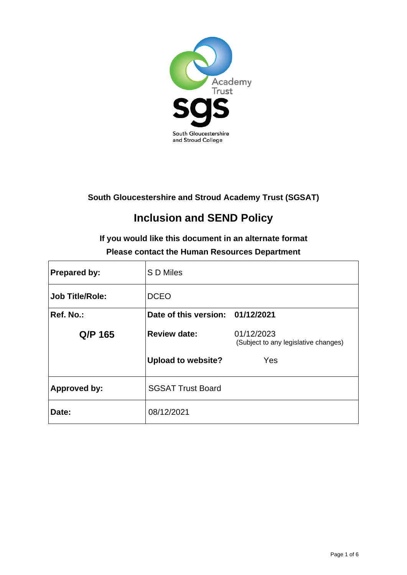

**South Gloucestershire and Stroud Academy Trust (SGSAT)**

# **Inclusion and SEND Policy**

# **If you would like this document in an alternate format Please contact the Human Resources Department**

| <b>Prepared by:</b>    | S D Miles                        |                                                    |
|------------------------|----------------------------------|----------------------------------------------------|
| <b>Job Title/Role:</b> | <b>DCEO</b>                      |                                                    |
| Ref. No.:              | Date of this version: 01/12/2021 |                                                    |
| Q/P 165                | <b>Review date:</b>              | 01/12/2023<br>(Subject to any legislative changes) |
|                        | <b>Upload to website?</b>        | Yes                                                |
| <b>Approved by:</b>    | <b>SGSAT Trust Board</b>         |                                                    |
| Date:                  | 08/12/2021                       |                                                    |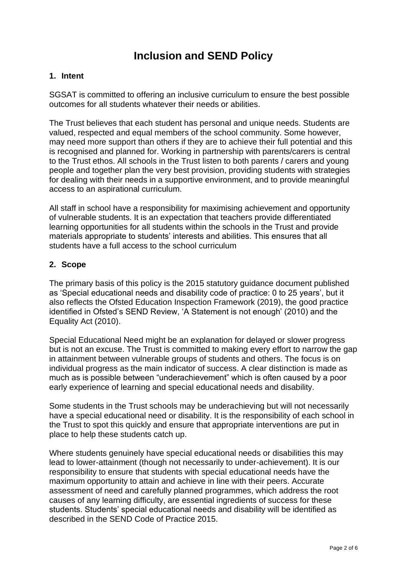# **Inclusion and SEND Policy**

#### **1. Intent**

SGSAT is committed to offering an inclusive curriculum to ensure the best possible outcomes for all students whatever their needs or abilities.

The Trust believes that each student has personal and unique needs. Students are valued, respected and equal members of the school community. Some however, may need more support than others if they are to achieve their full potential and this is recognised and planned for. Working in partnership with parents/carers is central to the Trust ethos. All schools in the Trust listen to both parents / carers and young people and together plan the very best provision, providing students with strategies for dealing with their needs in a supportive environment, and to provide meaningful access to an aspirational curriculum.

All staff in school have a responsibility for maximising achievement and opportunity of vulnerable students. It is an expectation that teachers provide differentiated learning opportunities for all students within the schools in the Trust and provide materials appropriate to students' interests and abilities. This ensures that all students have a full access to the school curriculum

#### **2. Scope**

The primary basis of this policy is the 2015 statutory guidance document published as 'Special educational needs and disability code of practice: 0 to 25 years', but it also reflects the Ofsted Education Inspection Framework (2019), the good practice identified in Ofsted's SEND Review, 'A Statement is not enough' (2010) and the Equality Act (2010).

Special Educational Need might be an explanation for delayed or slower progress but is not an excuse. The Trust is committed to making every effort to narrow the gap in attainment between vulnerable groups of students and others. The focus is on individual progress as the main indicator of success. A clear distinction is made as much as is possible between "underachievement" which is often caused by a poor early experience of learning and special educational needs and disability.

Some students in the Trust schools may be underachieving but will not necessarily have a special educational need or disability. It is the responsibility of each school in the Trust to spot this quickly and ensure that appropriate interventions are put in place to help these students catch up.

Where students genuinely have special educational needs or disabilities this may lead to lower-attainment (though not necessarily to under-achievement). It is our responsibility to ensure that students with special educational needs have the maximum opportunity to attain and achieve in line with their peers. Accurate assessment of need and carefully planned programmes, which address the root causes of any learning difficulty, are essential ingredients of success for these students. Students' special educational needs and disability will be identified as described in the SEND Code of Practice 2015.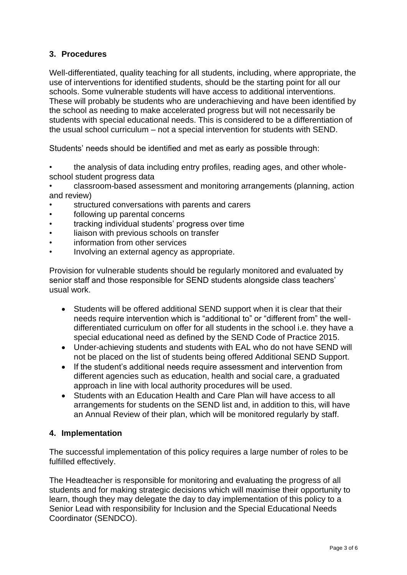#### **3. Procedures**

Well-differentiated, quality teaching for all students, including, where appropriate, the use of interventions for identified students, should be the starting point for all our schools. Some vulnerable students will have access to additional interventions. These will probably be students who are underachieving and have been identified by the school as needing to make accelerated progress but will not necessarily be students with special educational needs. This is considered to be a differentiation of the usual school curriculum – not a special intervention for students with SEND.

Students' needs should be identified and met as early as possible through:

- the analysis of data including entry profiles, reading ages, and other wholeschool student progress data
- classroom-based assessment and monitoring arrangements (planning, action and review)
- structured conversations with parents and carers
- following up parental concerns
- tracking individual students' progress over time
- liaison with previous schools on transfer
- information from other services
- Involving an external agency as appropriate.

Provision for vulnerable students should be regularly monitored and evaluated by senior staff and those responsible for SEND students alongside class teachers' usual work.

- Students will be offered additional SEND support when it is clear that their needs require intervention which is "additional to" or "different from" the welldifferentiated curriculum on offer for all students in the school i.e. they have a special educational need as defined by the SEND Code of Practice 2015.
- Under-achieving students and students with EAL who do not have SEND will not be placed on the list of students being offered Additional SEND Support.
- If the student's additional needs require assessment and intervention from different agencies such as education, health and social care, a graduated approach in line with local authority procedures will be used.
- Students with an Education Health and Care Plan will have access to all arrangements for students on the SEND list and, in addition to this, will have an Annual Review of their plan, which will be monitored regularly by staff.

#### **4. Implementation**

The successful implementation of this policy requires a large number of roles to be fulfilled effectively.

The Headteacher is responsible for monitoring and evaluating the progress of all students and for making strategic decisions which will maximise their opportunity to learn, though they may delegate the day to day implementation of this policy to a Senior Lead with responsibility for Inclusion and the Special Educational Needs Coordinator (SENDCO).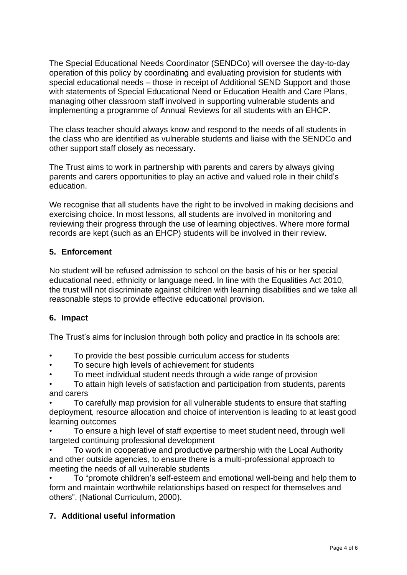The Special Educational Needs Coordinator (SENDCo) will oversee the day-to-day operation of this policy by coordinating and evaluating provision for students with special educational needs – those in receipt of Additional SEND Support and those with statements of Special Educational Need or Education Health and Care Plans, managing other classroom staff involved in supporting vulnerable students and implementing a programme of Annual Reviews for all students with an EHCP.

The class teacher should always know and respond to the needs of all students in the class who are identified as vulnerable students and liaise with the SENDCo and other support staff closely as necessary.

The Trust aims to work in partnership with parents and carers by always giving parents and carers opportunities to play an active and valued role in their child's education.

We recognise that all students have the right to be involved in making decisions and exercising choice. In most lessons, all students are involved in monitoring and reviewing their progress through the use of learning objectives. Where more formal records are kept (such as an EHCP) students will be involved in their review.

## **5. Enforcement**

No student will be refused admission to school on the basis of his or her special educational need, ethnicity or language need. In line with the Equalities Act 2010, the trust will not discriminate against children with learning disabilities and we take all reasonable steps to provide effective educational provision.

## **6. Impact**

The Trust's aims for inclusion through both policy and practice in its schools are:

- To provide the best possible curriculum access for students
- To secure high levels of achievement for students
- To meet individual student needs through a wide range of provision
- To attain high levels of satisfaction and participation from students, parents and carers

• To carefully map provision for all vulnerable students to ensure that staffing deployment, resource allocation and choice of intervention is leading to at least good learning outcomes

• To ensure a high level of staff expertise to meet student need, through well targeted continuing professional development

• To work in cooperative and productive partnership with the Local Authority and other outside agencies, to ensure there is a multi-professional approach to meeting the needs of all vulnerable students

• To "promote children's self-esteem and emotional well-being and help them to form and maintain worthwhile relationships based on respect for themselves and others". (National Curriculum, 2000).

## **7. Additional useful information**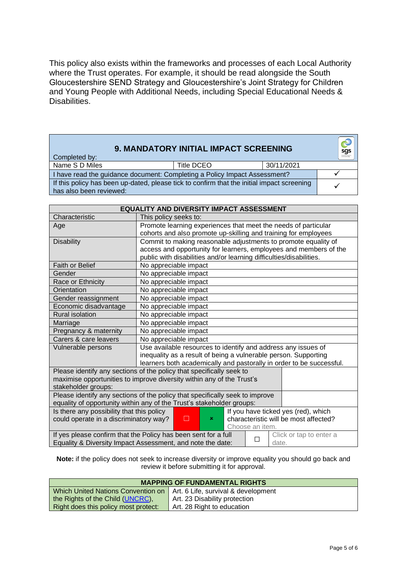This policy also exists within the frameworks and processes of each Local Authority where the Trust operates. For example, it should be read alongside the South Gloucestershire SEND Strategy and Gloucestershire's Joint Strategy for Children and Young People with Additional Needs, including Special Educational Needs & Disabilities.

| Completed by:                                                                                                         | 9. MANDATORY INITIAL IMPACT SCREENING |            | sgs |
|-----------------------------------------------------------------------------------------------------------------------|---------------------------------------|------------|-----|
| Name S D Miles                                                                                                        | Title DCEO                            | 30/11/2021 |     |
| I have read the guidance document: Completing a Policy Impact Assessment?                                             |                                       |            |     |
| If this policy has been up-dated, please tick to confirm that the initial impact screening<br>has also been reviewed: |                                       |            |     |

| <b>EQUALITY AND DIVERSITY IMPACT ASSESSMENT</b>                                                |                                                                       |  |
|------------------------------------------------------------------------------------------------|-----------------------------------------------------------------------|--|
| Characteristic                                                                                 | This policy seeks to:                                                 |  |
| Age                                                                                            | Promote learning experiences that meet the needs of particular        |  |
|                                                                                                | cohorts and also promote up-skilling and training for employees       |  |
| <b>Disability</b>                                                                              | Commit to making reasonable adjustments to promote equality of        |  |
|                                                                                                | access and opportunity for learners, employees and members of the     |  |
|                                                                                                | public with disabilities and/or learning difficulties/disabilities.   |  |
| <b>Faith or Belief</b>                                                                         | No appreciable impact                                                 |  |
| Gender                                                                                         | No appreciable impact                                                 |  |
| Race or Ethnicity                                                                              | No appreciable impact                                                 |  |
| Orientation                                                                                    | No appreciable impact                                                 |  |
| Gender reassignment                                                                            | No appreciable impact                                                 |  |
| Economic disadvantage                                                                          | No appreciable impact                                                 |  |
| <b>Rural isolation</b>                                                                         | No appreciable impact                                                 |  |
| Marriage                                                                                       | No appreciable impact                                                 |  |
| Pregnancy & maternity                                                                          | No appreciable impact                                                 |  |
| Carers & care leavers                                                                          | No appreciable impact                                                 |  |
| Vulnerable persons                                                                             | Use available resources to identify and address any issues of         |  |
|                                                                                                | inequality as a result of being a vulnerable person. Supporting       |  |
|                                                                                                | learners both academically and pastorally in order to be successful.  |  |
|                                                                                                | Please identify any sections of the policy that specifically seek to  |  |
|                                                                                                | maximise opportunities to improve diversity within any of the Trust's |  |
| stakeholder groups:                                                                            |                                                                       |  |
| Please identify any sections of the policy that specifically seek to improve                   |                                                                       |  |
|                                                                                                | equality of opportunity within any of the Trust's stakeholder groups: |  |
| Is there any possibility that this policy                                                      | If you have ticked yes (red), which                                   |  |
| could operate in a discriminatory way?                                                         | □<br>characteristic will be most affected?<br>×.                      |  |
|                                                                                                | Choose an item.                                                       |  |
| If yes please confirm that the Policy has been sent for a full<br>Click or tap to enter a<br>□ |                                                                       |  |
| Equality & Diversity Impact Assessment, and note the date:<br>date.                            |                                                                       |  |

**Note:** if the policy does not seek to increase diversity or improve equality you should go back and review it before submitting it for approval.

| <b>MAPPING OF FUNDAMENTAL RIGHTS</b>                                     |                               |  |
|--------------------------------------------------------------------------|-------------------------------|--|
| Which United Nations Convention on   Art. 6 Life, survival & development |                               |  |
| the Rights of the Child (UNCRC),                                         | Art. 23 Disability protection |  |
| Right does this policy most protect:                                     | Art. 28 Right to education    |  |